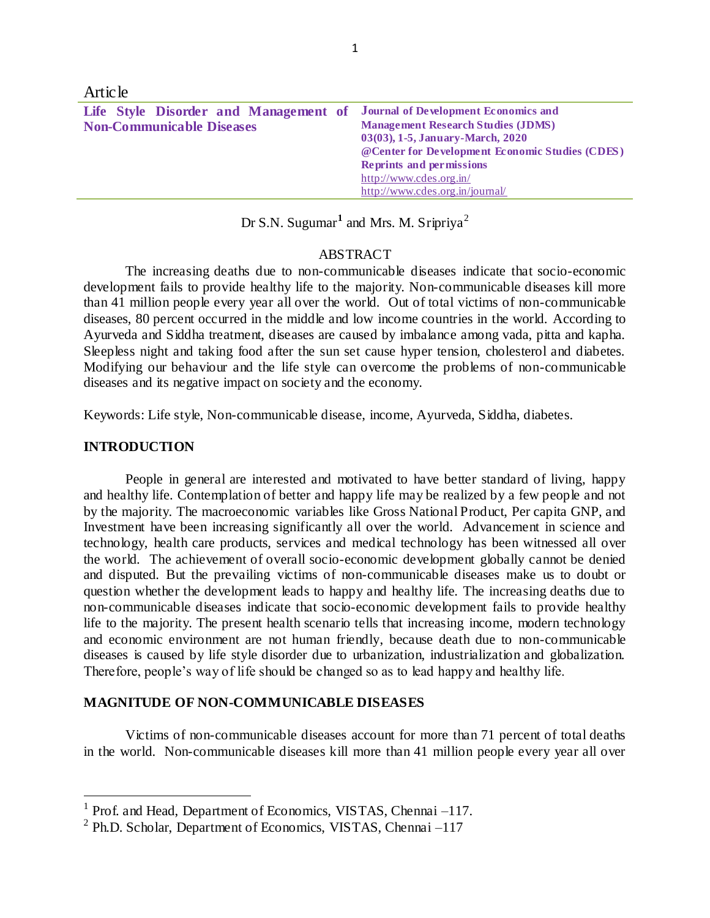| <b>Article</b>                                                                                                 |                                                                                                                                  |
|----------------------------------------------------------------------------------------------------------------|----------------------------------------------------------------------------------------------------------------------------------|
| Life Style Disorder and Management of Journal of Development Economics and<br><b>Non-Communicable Diseases</b> | <b>Management Research Studies (JDMS)</b><br>03(03), 1-5, January-March, 2020<br>@Center for Development Economic Studies (CDES) |
|                                                                                                                | <b>Reprints and permissions</b><br>http://www.cdes.org.in/<br>http://www.cdes.org.in/journal/                                    |

Dr S.N. Sugumar<sup>1</sup> and Mrs. M. Sripriya<sup>2</sup>

### ABSTRACT

The increasing deaths due to non-communicable diseases indicate that socio-economic development fails to provide healthy life to the majority. Non-communicable diseases kill more than 41 million people every year all over the world. Out of total victims of non-communicable diseases, 80 percent occurred in the middle and low income countries in the world. According to Ayurveda and Siddha treatment, diseases are caused by imbalance among vada, pitta and kapha. Sleepless night and taking food after the sun set cause hyper tension, cholesterol and diabetes. Modifying our behaviour and the life style can overcome the problems of non-communicable diseases and its negative impact on society and the economy.

Keywords: Life style, Non-communicable disease, income, Ayurveda, Siddha, diabetes.

### **INTRODUCTION**

 $\overline{a}$ 

People in general are interested and motivated to have better standard of living, happy and healthy life. Contemplation of better and happy life may be realized by a few people and not by the majority. The macroeconomic variables like Gross National Product, Per capita GNP, and Investment have been increasing significantly all over the world. Advancement in science and technology, health care products, services and medical technology has been witnessed all over the world. The achievement of overall socio-economic development globally cannot be denied and disputed. But the prevailing victims of non-communicable diseases make us to doubt or question whether the development leads to happy and healthy life. The increasing deaths due to non-communicable diseases indicate that socio-economic development fails to provide healthy life to the majority. The present health scenario tells that increasing income, modern technology and economic environment are not human friendly, because death due to non-communicable diseases is caused by life style disorder due to urbanization, industrialization and globalization. Therefore, people's way of life should be changed so as to lead happy and healthy life.

#### **MAGNITUDE OF NON-COMMUNICABLE DISEASES**

Victims of non-communicable diseases account for more than 71 percent of total deaths in the world. Non-communicable diseases kill more than 41 million people every year all over

<sup>&</sup>lt;sup>1</sup> Prof. and Head, Department of Economics, VISTAS, Chennai –117.

<sup>&</sup>lt;sup>2</sup> Ph.D. Scholar, Department of Economics, VISTAS, Chennai -117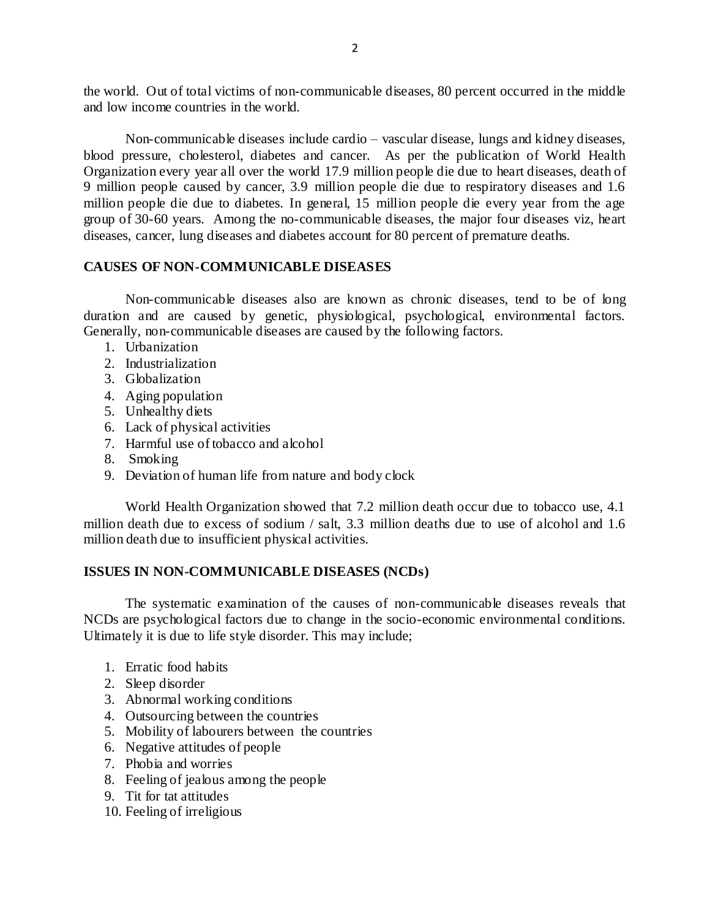the world. Out of total victims of non-communicable diseases, 80 percent occurred in the middle and low income countries in the world.

Non-communicable diseases include cardio – vascular disease, lungs and kidney diseases, blood pressure, cholesterol, diabetes and cancer. As per the publication of World Health Organization every year all over the world 17.9 million people die due to heart diseases, death of 9 million people caused by cancer, 3.9 million people die due to respiratory diseases and 1.6 million people die due to diabetes. In general, 15 million people die every year from the age group of 30-60 years. Among the no-communicable diseases, the major four diseases viz, heart diseases, cancer, lung diseases and diabetes account for 80 percent of premature deaths.

# **CAUSES OF NON-COMMUNICABLE DISEASES**

Non-communicable diseases also are known as chronic diseases, tend to be of long duration and are caused by genetic, physiological, psychological, environmental factors. Generally, non-communicable diseases are caused by the following factors.

- 1. Urbanization
- 2. Industrialization
- 3. Globalization
- 4. Aging population
- 5. Unhealthy diets
- 6. Lack of physical activities
- 7. Harmful use of tobacco and alcohol
- 8. Smoking
- 9. Deviation of human life from nature and body clock

World Health Organization showed that 7.2 million death occur due to tobacco use, 4.1 million death due to excess of sodium / salt, 3.3 million deaths due to use of alcohol and 1.6 million death due to insufficient physical activities.

# **ISSUES IN NON-COMMUNICABLE DISEASES (NCDs)**

The systematic examination of the causes of non-communicable diseases reveals that NCDs are psychological factors due to change in the socio-economic environmental conditions. Ultimately it is due to life style disorder. This may include;

- 1. Erratic food habits
- 2. Sleep disorder
- 3. Abnormal working conditions
- 4. Outsourcing between the countries
- 5. Mobility of labourers between the countries
- 6. Negative attitudes of people
- 7. Phobia and worries
- 8. Feeling of jealous among the people
- 9. Tit for tat attitudes
- 10. Feeling of irreligious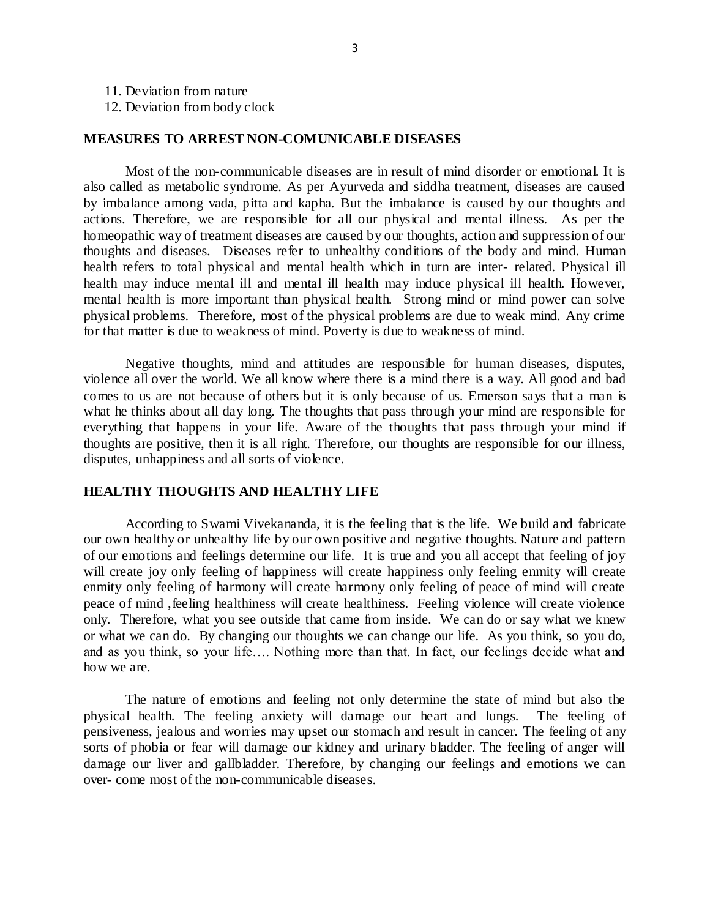11. Deviation from nature

12. Deviation from body clock

#### **MEASURES TO ARREST NON-COMUNICABLE DISEASES**

Most of the non-communicable diseases are in result of mind disorder or emotional. It is also called as metabolic syndrome. As per Ayurveda and siddha treatment, diseases are caused by imbalance among vada, pitta and kapha. But the imbalance is caused by our thoughts and actions. Therefore, we are responsible for all our physical and mental illness. As per the homeopathic way of treatment diseases are caused by our thoughts, action and suppression of our thoughts and diseases. Diseases refer to unhealthy conditions of the body and mind. Human health refers to total physical and mental health which in turn are inter- related. Physical ill health may induce mental ill and mental ill health may induce physical ill health. However, mental health is more important than physical health. Strong mind or mind power can solve physical problems. Therefore, most of the physical problems are due to weak mind. Any crime for that matter is due to weakness of mind. Poverty is due to weakness of mind.

Negative thoughts, mind and attitudes are responsible for human diseases, disputes, violence all over the world. We all know where there is a mind there is a way. All good and bad comes to us are not because of others but it is only because of us. Emerson says that a man is what he thinks about all day long. The thoughts that pass through your mind are responsible for everything that happens in your life. Aware of the thoughts that pass through your mind if thoughts are positive, then it is all right. Therefore, our thoughts are responsible for our illness, disputes, unhappiness and all sorts of violence.

#### **HEALTHY THOUGHTS AND HEALTHY LIFE**

According to Swami Vivekananda, it is the feeling that is the life. We build and fabricate our own healthy or unhealthy life by our own positive and negative thoughts. Nature and pattern of our emotions and feelings determine our life. It is true and you all accept that feeling of joy will create joy only feeling of happiness will create happiness only feeling enmity will create enmity only feeling of harmony will create harmony only feeling of peace of mind will create peace of mind ,feeling healthiness will create healthiness. Feeling violence will create violence only. Therefore, what you see outside that came from inside. We can do or say what we knew or what we can do. By changing our thoughts we can change our life. As you think, so you do, and as you think, so your life…. Nothing more than that. In fact, our feelings decide what and how we are.

The nature of emotions and feeling not only determine the state of mind but also the physical health. The feeling anxiety will damage our heart and lungs. The feeling of pensiveness, jealous and worries may upset our stomach and result in cancer. The feeling of any sorts of phobia or fear will damage our kidney and urinary bladder. The feeling of anger will damage our liver and gallbladder. Therefore, by changing our feelings and emotions we can over- come most of the non-communicable diseases.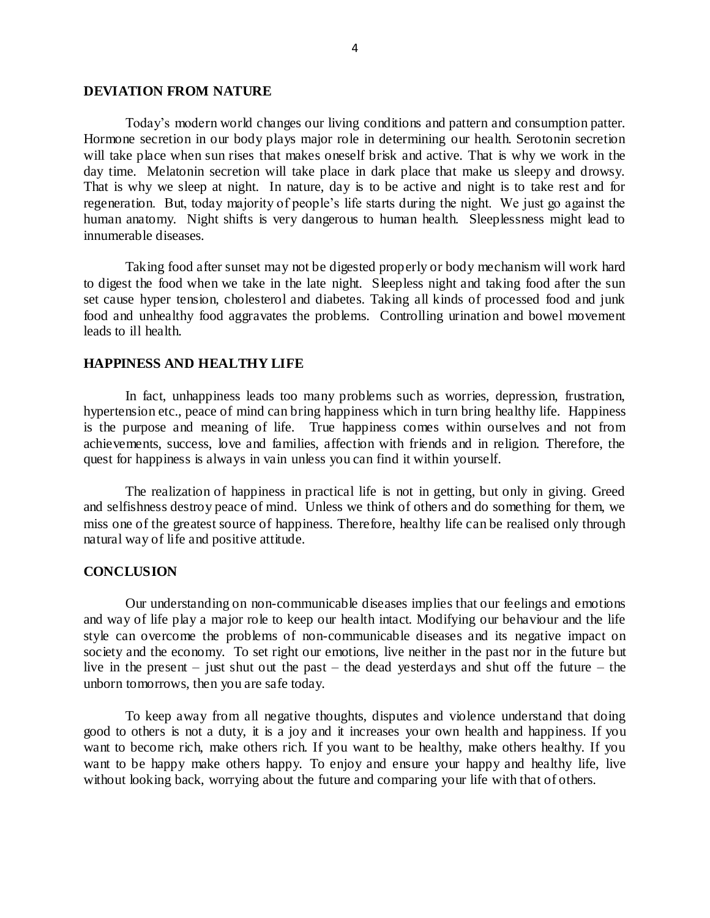#### **DEVIATION FROM NATURE**

Today's modern world changes our living conditions and pattern and consumption patter. Hormone secretion in our body plays major role in determining our health. Serotonin secretion will take place when sun rises that makes oneself brisk and active. That is why we work in the day time. Melatonin secretion will take place in dark place that make us sleepy and drowsy. That is why we sleep at night. In nature, day is to be active and night is to take rest and for regeneration. But, today majority of people's life starts during the night. We just go against the human anatomy. Night shifts is very dangerous to human health. Sleeplessness might lead to innumerable diseases.

Taking food after sunset may not be digested properly or body mechanism will work hard to digest the food when we take in the late night. Sleepless night and taking food after the sun set cause hyper tension, cholesterol and diabetes. Taking all kinds of processed food and junk food and unhealthy food aggravates the problems. Controlling urination and bowel movement leads to ill health.

### **HAPPINESS AND HEALTHY LIFE**

In fact, unhappiness leads too many problems such as worries, depression, frustration, hypertension etc., peace of mind can bring happiness which in turn bring healthy life. Happiness is the purpose and meaning of life. True happiness comes within ourselves and not from achievements, success, love and families, affection with friends and in religion. Therefore, the quest for happiness is always in vain unless you can find it within yourself.

The realization of happiness in practical life is not in getting, but only in giving. Greed and selfishness destroy peace of mind. Unless we think of others and do something for them, we miss one of the greatest source of happiness. Therefore, healthy life can be realised only through natural way of life and positive attitude.

#### **CONCLUSION**

Our understanding on non-communicable diseases implies that our feelings and emotions and way of life play a major role to keep our health intact. Modifying our behaviour and the life style can overcome the problems of non-communicable diseases and its negative impact on society and the economy. To set right our emotions, live neither in the past nor in the future but live in the present – just shut out the past – the dead yesterdays and shut off the future – the unborn tomorrows, then you are safe today.

To keep away from all negative thoughts, disputes and violence understand that doing good to others is not a duty, it is a joy and it increases your own health and happiness. If you want to become rich, make others rich. If you want to be healthy, make others healthy. If you want to be happy make others happy. To enjoy and ensure your happy and healthy life, live without looking back, worrying about the future and comparing your life with that of others.